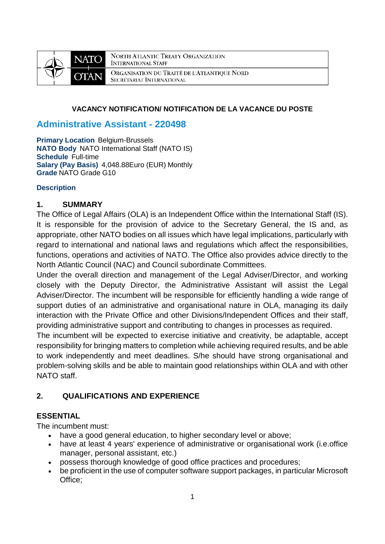

NORTH ATLANTIC TREATY ORGANIZATION **INTERNATIONAL STAFF** ORGANISATION DU TRAITÉ DE L'ATLANTIQUE NORD SECRÉTARIAT INTERNATIONAL

#### **VACANCY NOTIFICATION/ NOTIFICATION DE LA VACANCE DU POSTE**

### **Administrative Assistant - 220498**

**Primary Location** Belgium-Brussels **NATO Body** NATO International Staff (NATO IS) **Schedule** Full-time **Salary (Pay Basis)** 4,048.88Euro (EUR) Monthly **Grade** NATO Grade G10

#### **Description**

#### **1. SUMMARY**

The Office of Legal Affairs (OLA) is an Independent Office within the International Staff (IS). It is responsible for the provision of advice to the Secretary General, the IS and, as appropriate, other NATO bodies on all issues which have legal implications, particularly with regard to international and national laws and regulations which affect the responsibilities, functions, operations and activities of NATO. The Office also provides advice directly to the North Atlantic Council (NAC) and Council subordinate Committees.

Under the overall direction and management of the Legal Adviser/Director, and working closely with the Deputy Director, the Administrative Assistant will assist the Legal Adviser/Director. The incumbent will be responsible for efficiently handling a wide range of support duties of an administrative and organisational nature in OLA, managing its daily interaction with the Private Office and other Divisions/Independent Offices and their staff, providing administrative support and contributing to changes in processes as required.

The incumbent will be expected to exercise initiative and creativity, be adaptable, accept responsibility for bringing matters to completion while achieving required results, and be able to work independently and meet deadlines. S/he should have strong organisational and problem-solving skills and be able to maintain good relationships within OLA and with other NATO staff.

### **2. QUALIFICATIONS AND EXPERIENCE**

#### **ESSENTIAL**

The incumbent must:

- have a good general education, to higher secondary level or above:
- have at least 4 years' experience of administrative or organisational work (i.e.office manager, personal assistant, etc.)
- possess thorough knowledge of good office practices and procedures;
- be proficient in the use of computer software support packages, in particular Microsoft Office;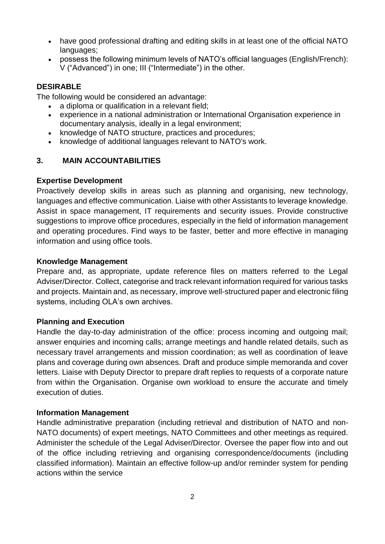- have good professional drafting and editing skills in at least one of the official NATO languages;
- possess the following minimum levels of NATO's official languages (English/French): V ("Advanced") in one; III ("Intermediate") in the other.

### **DESIRABLE**

The following would be considered an advantage:

- a diploma or qualification in a relevant field;
- experience in a national administration or International Organisation experience in documentary analysis, ideally in a legal environment;
- knowledge of NATO structure, practices and procedures;
- knowledge of additional languages relevant to NATO's work.

### **3. MAIN ACCOUNTABILITIES**

#### **Expertise Development**

Proactively develop skills in areas such as planning and organising, new technology, languages and effective communication. Liaise with other Assistants to leverage knowledge. Assist in space management, IT requirements and security issues. Provide constructive suggestions to improve office procedures, especially in the field of information management and operating procedures. Find ways to be faster, better and more effective in managing information and using office tools.

#### **Knowledge Management**

Prepare and, as appropriate, update reference files on matters referred to the Legal Adviser/Director. Collect, categorise and track relevant information required for various tasks and projects. Maintain and, as necessary, improve well-structured paper and electronic filing systems, including OLA's own archives.

### **Planning and Execution**

Handle the day-to-day administration of the office: process incoming and outgoing mail; answer enquiries and incoming calls; arrange meetings and handle related details, such as necessary travel arrangements and mission coordination; as well as coordination of leave plans and coverage during own absences. Draft and produce simple memoranda and cover letters. Liaise with Deputy Director to prepare draft replies to requests of a corporate nature from within the Organisation. Organise own workload to ensure the accurate and timely execution of duties.

#### **Information Management**

Handle administrative preparation (including retrieval and distribution of NATO and non-NATO documents) of expert meetings, NATO Committees and other meetings as required. Administer the schedule of the Legal Adviser/Director. Oversee the paper flow into and out of the office including retrieving and organising correspondence/documents (including classified information). Maintain an effective follow-up and/or reminder system for pending actions within the service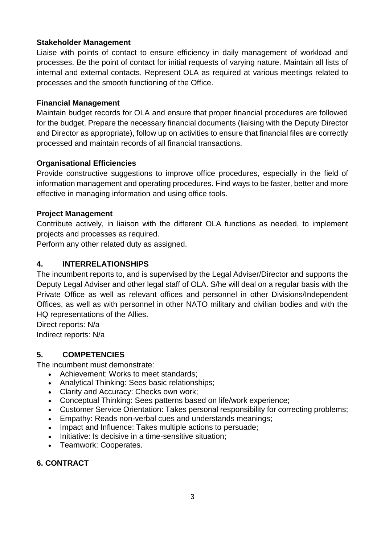### **Stakeholder Management**

Liaise with points of contact to ensure efficiency in daily management of workload and processes. Be the point of contact for initial requests of varying nature. Maintain all lists of internal and external contacts. Represent OLA as required at various meetings related to processes and the smooth functioning of the Office.

### **Financial Management**

Maintain budget records for OLA and ensure that proper financial procedures are followed for the budget. Prepare the necessary financial documents (liaising with the Deputy Director and Director as appropriate), follow up on activities to ensure that financial files are correctly processed and maintain records of all financial transactions.

### **Organisational Efficiencies**

Provide constructive suggestions to improve office procedures, especially in the field of information management and operating procedures. Find ways to be faster, better and more effective in managing information and using office tools.

#### **Project Management**

Contribute actively, in liaison with the different OLA functions as needed, to implement projects and processes as required.

Perform any other related duty as assigned.

### **4. INTERRELATIONSHIPS**

The incumbent reports to, and is supervised by the Legal Adviser/Director and supports the Deputy Legal Adviser and other legal staff of OLA. S/he will deal on a regular basis with the Private Office as well as relevant offices and personnel in other Divisions/Independent Offices, as well as with personnel in other NATO military and civilian bodies and with the HQ representations of the Allies.

Direct reports: N/a

Indirect reports: N/a

### **5. COMPETENCIES**

The incumbent must demonstrate:

- Achievement: Works to meet standards:
- Analytical Thinking: Sees basic relationships;
- Clarity and Accuracy: Checks own work;
- Conceptual Thinking: Sees patterns based on life/work experience;
- Customer Service Orientation: Takes personal responsibility for correcting problems;
- Empathy: Reads non-verbal cues and understands meanings;
- Impact and Influence: Takes multiple actions to persuade;
- Initiative: Is decisive in a time-sensitive situation;
- Teamwork: Cooperates.

### **6. CONTRACT**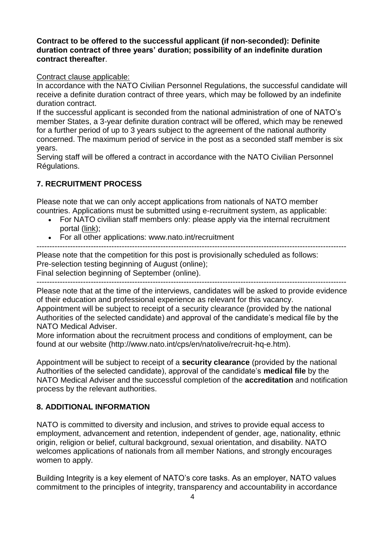**Contract to be offered to the successful applicant (if non-seconded): Definite duration contract of three years' duration; possibility of an indefinite duration contract thereafter**.

#### Contract clause applicable:

In accordance with the NATO Civilian Personnel Regulations, the successful candidate will receive a definite duration contract of three years, which may be followed by an indefinite duration contract.

If the successful applicant is seconded from the national administration of one of NATO's member States, a 3-year definite duration contract will be offered, which may be renewed for a further period of up to 3 years subject to the agreement of the national authority concerned. The maximum period of service in the post as a seconded staff member is six years.

Serving staff will be offered a contract in accordance with the NATO Civilian Personnel Régulations.

#### **7. RECRUITMENT PROCESS**

Please note that we can only accept applications from nationals of NATO member countries. Applications must be submitted using e-recruitment system, as applicable:

- For NATO civilian staff members only: please apply via the internal recruitment portal [\(link\)](https://nato.taleo.net/careersection/1/jobsearch.ftl?lang=en);
- For all other applications: www.nato.int/recruitment

Please note that the competition for this post is provisionally scheduled as follows: Pre-selection testing beginning of August (online);

Final selection beginning of September (online).

------------------------------------------------------------------------------------------------------------------------ Please note that at the time of the interviews, candidates will be asked to provide evidence of their education and professional experience as relevant for this vacancy.

Appointment will be subject to receipt of a security clearance (provided by the national Authorities of the selected candidate) and approval of the candidate's medical file by the NATO Medical Adviser.

More information about the recruitment process and conditions of employment, can be found at our website (http://www.nato.int/cps/en/natolive/recruit-hq-e.htm).

Appointment will be subject to receipt of a **security clearance** (provided by the national Authorities of the selected candidate), approval of the candidate's **medical file** by the NATO Medical Adviser and the successful completion of the **accreditation** and notification process by the relevant authorities.

#### **8. ADDITIONAL INFORMATION**

NATO is committed to diversity and inclusion, and strives to provide equal access to employment, advancement and retention, independent of gender, age, nationality, ethnic origin, religion or belief, cultural background, sexual orientation, and disability. NATO welcomes applications of nationals from all member Nations, and strongly encourages women to apply.

Building Integrity is a key element of NATO's core tasks. As an employer, NATO values commitment to the principles of integrity, transparency and accountability in accordance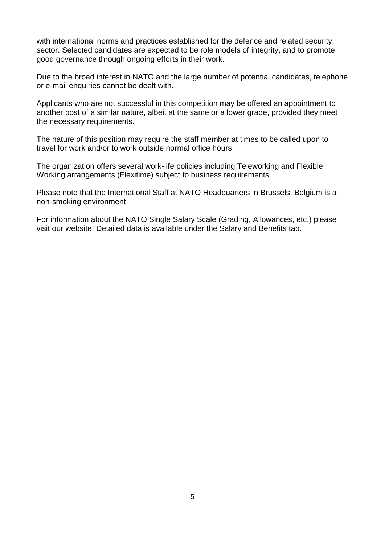with international norms and practices established for the defence and related security sector. Selected candidates are expected to be role models of integrity, and to promote good governance through ongoing efforts in their work.

Due to the broad interest in NATO and the large number of potential candidates, telephone or e-mail enquiries cannot be dealt with.

Applicants who are not successful in this competition may be offered an appointment to another post of a similar nature, albeit at the same or a lower grade, provided they meet the necessary requirements.

The nature of this position may require the staff member at times to be called upon to travel for work and/or to work outside normal office hours.

The organization offers several work-life policies including Teleworking and Flexible Working arrangements (Flexitime) subject to business requirements.

Please note that the International Staff at NATO Headquarters in Brussels, Belgium is a non-smoking environment.

For information about the NATO Single Salary Scale (Grading, Allowances, etc.) please visit our [website.](https://www.nato.int/cps/en/natolive/86790.htm) Detailed data is available under the Salary and Benefits tab.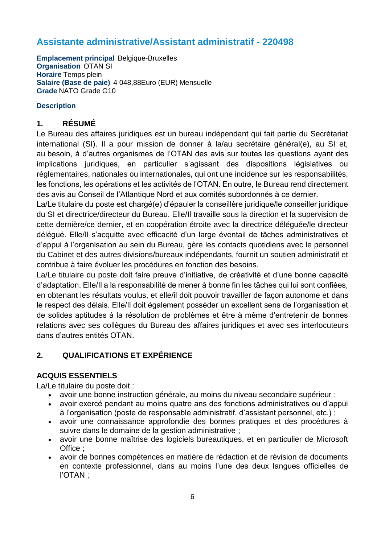# **Assistante administrative/Assistant administratif - 220498**

**Emplacement principal Belgique-Bruxelles Organisation** OTAN SI **Horaire** Temps plein **Salaire (Base de paie)** 4 048,88Euro (EUR) Mensuelle **Grade** NATO Grade G10

#### **Description**

### **1. RÉSUMÉ**

Le Bureau des affaires juridiques est un bureau indépendant qui fait partie du Secrétariat international (SI). Il a pour mission de donner à la/au secrétaire général(e), au SI et, au besoin, à d'autres organismes de l'OTAN des avis sur toutes les questions ayant des implications juridiques, en particulier s'agissant des dispositions législatives ou réglementaires, nationales ou internationales, qui ont une incidence sur les responsabilités, les fonctions, les opérations et les activités de l'OTAN. En outre, le Bureau rend directement des avis au Conseil de l'Atlantique Nord et aux comités subordonnés à ce dernier.

La/Le titulaire du poste est chargé(e) d'épauler la conseillère juridique/le conseiller juridique du SI et directrice/directeur du Bureau. Elle/Il travaille sous la direction et la supervision de cette dernière/ce dernier, et en coopération étroite avec la directrice déléguée/le directeur délégué. Elle/Il s'acquitte avec efficacité d'un large éventail de tâches administratives et d'appui à l'organisation au sein du Bureau, gère les contacts quotidiens avec le personnel du Cabinet et des autres divisions/bureaux indépendants, fournit un soutien administratif et contribue à faire évoluer les procédures en fonction des besoins.

La/Le titulaire du poste doit faire preuve d'initiative, de créativité et d'une bonne capacité d'adaptation. Elle/Il a la responsabilité de mener à bonne fin les tâches qui lui sont confiées, en obtenant les résultats voulus, et elle/il doit pouvoir travailler de façon autonome et dans le respect des délais. Elle/Il doit également posséder un excellent sens de l'organisation et de solides aptitudes à la résolution de problèmes et être à même d'entretenir de bonnes relations avec ses collègues du Bureau des affaires juridiques et avec ses interlocuteurs dans d'autres entités OTAN.

### **2. QUALIFICATIONS ET EXPÉRIENCE**

### **ACQUIS ESSENTIELS**

La/Le titulaire du poste doit :

- avoir une bonne instruction générale, au moins du niveau secondaire supérieur ;
- avoir exercé pendant au moins quatre ans des fonctions administratives ou d'appui à l'organisation (poste de responsable administratif, d'assistant personnel, etc.) ;
- avoir une connaissance approfondie des bonnes pratiques et des procédures à suivre dans le domaine de la gestion administrative ;
- avoir une bonne maîtrise des logiciels bureautiques, et en particulier de Microsoft Office ;
- avoir de bonnes compétences en matière de rédaction et de révision de documents en contexte professionnel, dans au moins l'une des deux langues officielles de l'OTAN ;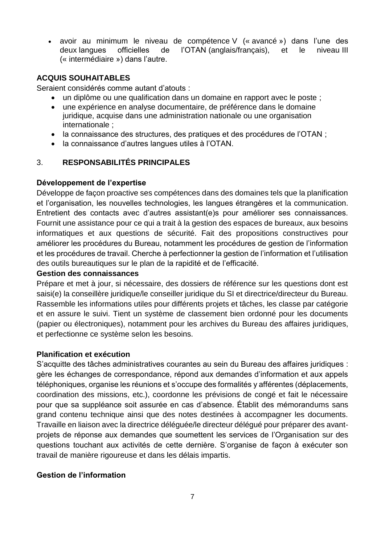avoir au minimum le niveau de compétence V (« avancé ») dans l'une des deux langues officielles de l'OTAN (anglais/français), et le niveau III (« intermédiaire ») dans l'autre.

### **ACQUIS SOUHAITABLES**

Seraient considérés comme autant d'atouts :

- un diplôme ou une qualification dans un domaine en rapport avec le poste ;
- une expérience en analyse documentaire, de préférence dans le domaine juridique, acquise dans une administration nationale ou une organisation internationale ;
- la connaissance des structures, des pratiques et des procédures de l'OTAN ;
- la connaissance d'autres langues utiles à l'OTAN.

### 3. **RESPONSABILITÉS PRINCIPALES**

#### **Développement de l'expertise**

Développe de façon proactive ses compétences dans des domaines tels que la planification et l'organisation, les nouvelles technologies, les langues étrangères et la communication. Entretient des contacts avec d'autres assistant(e)s pour améliorer ses connaissances. Fournit une assistance pour ce qui a trait à la gestion des espaces de bureaux, aux besoins informatiques et aux questions de sécurité. Fait des propositions constructives pour améliorer les procédures du Bureau, notamment les procédures de gestion de l'information et les procédures de travail. Cherche à perfectionner la gestion de l'information et l'utilisation des outils bureautiques sur le plan de la rapidité et de l'efficacité.

#### **Gestion des connaissances**

Prépare et met à jour, si nécessaire, des dossiers de référence sur les questions dont est saisi(e) la conseillère juridique/le conseiller juridique du SI et directrice/directeur du Bureau. Rassemble les informations utiles pour différents projets et tâches, les classe par catégorie et en assure le suivi. Tient un système de classement bien ordonné pour les documents (papier ou électroniques), notamment pour les archives du Bureau des affaires juridiques, et perfectionne ce système selon les besoins.

#### **Planification et exécution**

S'acquitte des tâches administratives courantes au sein du Bureau des affaires juridiques : gère les échanges de correspondance, répond aux demandes d'information et aux appels téléphoniques, organise les réunions et s'occupe des formalités y afférentes (déplacements, coordination des missions, etc.), coordonne les prévisions de congé et fait le nécessaire pour que sa suppléance soit assurée en cas d'absence. Établit des mémorandums sans grand contenu technique ainsi que des notes destinées à accompagner les documents. Travaille en liaison avec la directrice déléguée/le directeur délégué pour préparer des avantprojets de réponse aux demandes que soumettent les services de l'Organisation sur des questions touchant aux activités de cette dernière. S'organise de façon à exécuter son travail de manière rigoureuse et dans les délais impartis.

### **Gestion de l'information**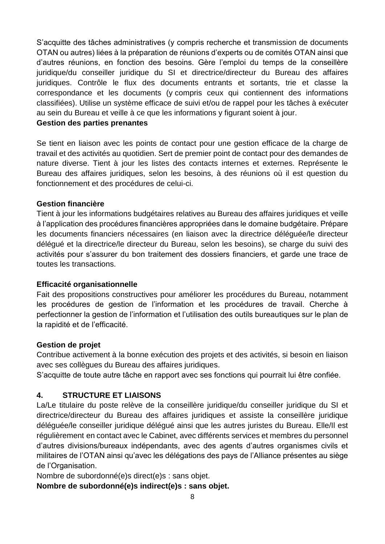S'acquitte des tâches administratives (y compris recherche et transmission de documents OTAN ou autres) liées à la préparation de réunions d'experts ou de comités OTAN ainsi que d'autres réunions, en fonction des besoins. Gère l'emploi du temps de la conseillère juridique/du conseiller juridique du SI et directrice/directeur du Bureau des affaires juridiques. Contrôle le flux des documents entrants et sortants, trie et classe la correspondance et les documents (y compris ceux qui contiennent des informations classifiées). Utilise un système efficace de suivi et/ou de rappel pour les tâches à exécuter au sein du Bureau et veille à ce que les informations y figurant soient à jour.

#### **Gestion des parties prenantes**

Se tient en liaison avec les points de contact pour une gestion efficace de la charge de travail et des activités au quotidien. Sert de premier point de contact pour des demandes de nature diverse. Tient à jour les listes des contacts internes et externes. Représente le Bureau des affaires juridiques, selon les besoins, à des réunions où il est question du fonctionnement et des procédures de celui-ci.

#### **Gestion financière**

Tient à jour les informations budgétaires relatives au Bureau des affaires juridiques et veille à l'application des procédures financières appropriées dans le domaine budgétaire. Prépare les documents financiers nécessaires (en liaison avec la directrice déléguée/le directeur délégué et la directrice/le directeur du Bureau, selon les besoins), se charge du suivi des activités pour s'assurer du bon traitement des dossiers financiers, et garde une trace de toutes les transactions.

#### **Efficacité organisationnelle**

Fait des propositions constructives pour améliorer les procédures du Bureau, notamment les procédures de gestion de l'information et les procédures de travail. Cherche à perfectionner la gestion de l'information et l'utilisation des outils bureautiques sur le plan de la rapidité et de l'efficacité.

#### **Gestion de projet**

Contribue activement à la bonne exécution des projets et des activités, si besoin en liaison avec ses collègues du Bureau des affaires juridiques.

S'acquitte de toute autre tâche en rapport avec ses fonctions qui pourrait lui être confiée.

### **4. STRUCTURE ET LIAISONS**

La/Le titulaire du poste relève de la conseillère juridique/du conseiller juridique du SI et directrice/directeur du Bureau des affaires juridiques et assiste la conseillère juridique déléguée/le conseiller juridique délégué ainsi que les autres juristes du Bureau. Elle/Il est régulièrement en contact avec le Cabinet, avec différents services et membres du personnel d'autres divisions/bureaux indépendants, avec des agents d'autres organismes civils et militaires de l'OTAN ainsi qu'avec les délégations des pays de l'Alliance présentes au siège de l'Organisation.

Nombre de subordonné(e)s direct(e)s : sans objet.

**Nombre de subordonné(e)s indirect(e)s : sans objet.**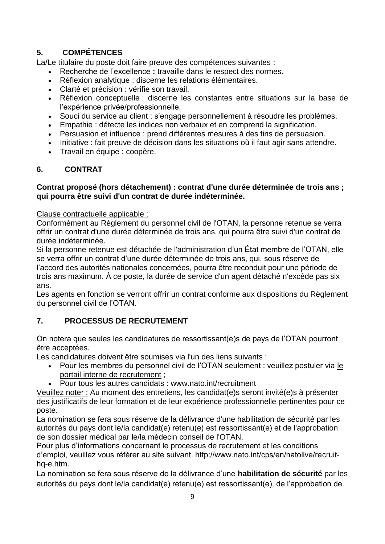## **5. COMPÉTENCES**

La/Le titulaire du poste doit faire preuve des compétences suivantes :

- Recherche de l'excellence **:** travaille dans le respect des normes.
- Réflexion analytique : discerne les relations élémentaires.
- Clarté et précision : vérifie son travail.
- Réflexion conceptuelle : discerne les constantes entre situations sur la base de l'expérience privée/professionnelle.
- Souci du service au client : s'engage personnellement à résoudre les problèmes.
- Empathie : détecte les indices non verbaux et en comprend la signification.
- Persuasion et influence : prend différentes mesures à des fins de persuasion.
- Initiative : fait preuve de décision dans les situations où il faut agir sans attendre.
- Travail en équipe : coopère.

## **6. CONTRAT**

### **Contrat proposé (hors détachement) : contrat d'une durée déterminée de trois ans ; qui pourra être suivi d'un contrat de durée indéterminée.**

### Clause contractuelle applicable :

Conformément au Règlement du personnel civil de l'OTAN, la personne retenue se verra offrir un contrat d'une durée déterminée de trois ans, qui pourra être suivi d'un contrat de durée indéterminée.

Si la personne retenue est détachée de l'administration d'un État membre de l'OTAN, elle se verra offrir un contrat d'une durée déterminée de trois ans, qui, sous réserve de l'accord des autorités nationales concernées, pourra être reconduit pour une période de trois ans maximum. À ce poste, la durée de service d'un agent détaché n'excède pas six ans.

Les agents en fonction se verront offrir un contrat conforme aux dispositions du Règlement du personnel civil de l'OTAN.

## **7. PROCESSUS DE RECRUTEMENT**

On notera que seules les candidatures de ressortissant(e)s de pays de l'OTAN pourront être acceptées.

Les candidatures doivent être soumises via l'un des liens suivants :

- Pour les membres du personnel civil de l'OTAN seulement : veuillez postuler via [le](http://nato.taleo.net/careersection/1/jobsearch.ftl?lang=en)  [portail interne de recrutement](http://nato.taleo.net/careersection/1/jobsearch.ftl?lang=en) ;
- Pour tous les autres candidats : www.nato.int/recruitment

Veuillez noter : Au moment des entretiens, les candidat(e)s seront invité(e)s à présenter des justificatifs de leur formation et de leur expérience professionnelle pertinentes pour ce poste.

La nomination se fera sous réserve de la délivrance d'une habilitation de sécurité par les autorités du pays dont le/la candidat(e) retenu(e) est ressortissant(e) et de l'approbation de son dossier médical par le/la médecin conseil de l'OTAN.

Pour plus d'informations concernant le processus de recrutement et les conditions d'emploi, veuillez vous référer au site suivant. http://www.nato.int/cps/en/natolive/recruithq-e.htm.

La nomination se fera sous réserve de la délivrance d'une **habilitation de sécurité** par les autorités du pays dont le/la candidat(e) retenu(e) est ressortissant(e), de l'approbation de